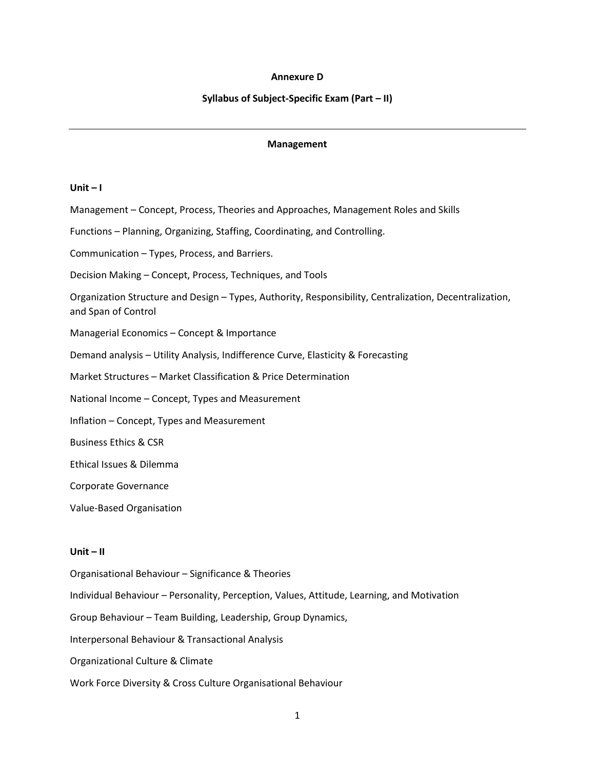## **Annexure D**

## **Syllabus of Subject-Specific Exam (Part – II)**

## **Management**

# **Unit – I**

Management – Concept, Process, Theories and Approaches, Management Roles and Skills Functions – Planning, Organizing, Staffing, Coordinating, and Controlling. Communication – Types, Process, and Barriers. Decision Making – Concept, Process, Techniques, and Tools Organization Structure and Design – Types, Authority, Responsibility, Centralization, Decentralization, and Span of Control Managerial Economics – Concept & Importance Demand analysis – Utility Analysis, Indifference Curve, Elasticity & Forecasting Market Structures – Market Classification & Price Determination National Income – Concept, Types and Measurement Inflation – Concept, Types and Measurement Business Ethics & CSR Ethical Issues & Dilemma Corporate Governance Value-Based Organisation **Unit – II**

Organisational Behaviour – Significance & Theories Individual Behaviour – Personality, Perception, Values, Attitude, Learning, and Motivation Group Behaviour – Team Building, Leadership, Group Dynamics, Interpersonal Behaviour & Transactional Analysis Organizational Culture & Climate Work Force Diversity & Cross Culture Organisational Behaviour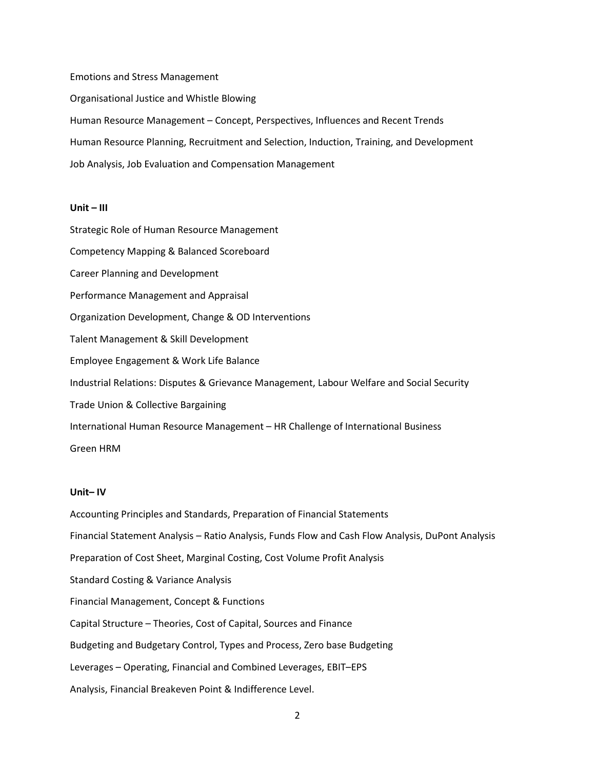Emotions and Stress Management Organisational Justice and Whistle Blowing Human Resource Management – Concept, Perspectives, Influences and Recent Trends Human Resource Planning, Recruitment and Selection, Induction, Training, and Development Job Analysis, Job Evaluation and Compensation Management

### **Unit – III**

Strategic Role of Human Resource Management Competency Mapping & Balanced Scoreboard Career Planning and Development Performance Management and Appraisal Organization Development, Change & OD Interventions Talent Management & Skill Development Employee Engagement & Work Life Balance Industrial Relations: Disputes & Grievance Management, Labour Welfare and Social Security Trade Union & Collective Bargaining International Human Resource Management – HR Challenge of International Business Green HRM

## **Unit– IV**

Accounting Principles and Standards, Preparation of Financial Statements Financial Statement Analysis – Ratio Analysis, Funds Flow and Cash Flow Analysis, DuPont Analysis Preparation of Cost Sheet, Marginal Costing, Cost Volume Profit Analysis Standard Costing & Variance Analysis Financial Management, Concept & Functions Capital Structure – Theories, Cost of Capital, Sources and Finance Budgeting and Budgetary Control, Types and Process, Zero base Budgeting Leverages – Operating, Financial and Combined Leverages, EBIT–EPS Analysis, Financial Breakeven Point & Indifference Level.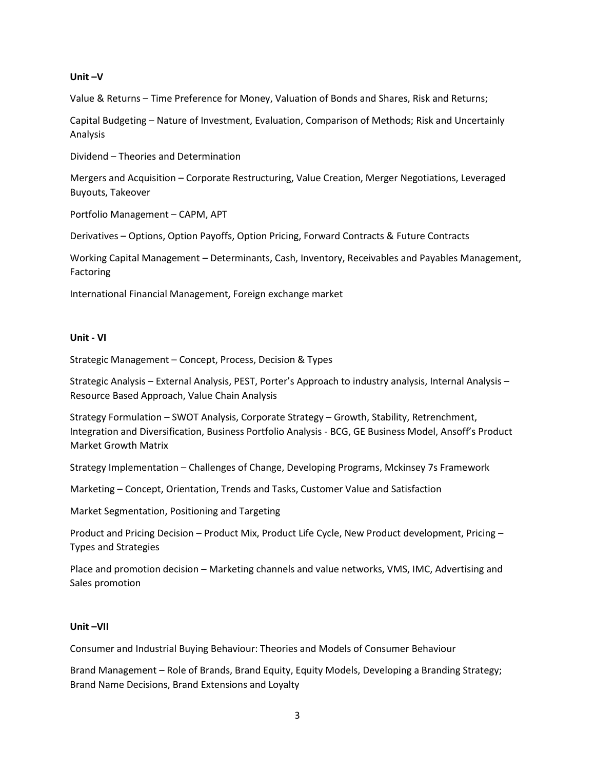# **Unit –V**

Value & Returns – Time Preference for Money, Valuation of Bonds and Shares, Risk and Returns;

Capital Budgeting – Nature of Investment, Evaluation, Comparison of Methods; Risk and Uncertainly Analysis

Dividend – Theories and Determination

Mergers and Acquisition – Corporate Restructuring, Value Creation, Merger Negotiations, Leveraged Buyouts, Takeover

Portfolio Management – CAPM, APT

Derivatives – Options, Option Payoffs, Option Pricing, Forward Contracts & Future Contracts

Working Capital Management – Determinants, Cash, Inventory, Receivables and Payables Management, **Factoring** 

International Financial Management, Foreign exchange market

# **Unit - VI**

Strategic Management – Concept, Process, Decision & Types

Strategic Analysis – External Analysis, PEST, Porter's Approach to industry analysis, Internal Analysis – Resource Based Approach, Value Chain Analysis

Strategy Formulation – SWOT Analysis, Corporate Strategy – Growth, Stability, Retrenchment, Integration and Diversification, Business Portfolio Analysis - BCG, GE Business Model, Ansoff's Product Market Growth Matrix

Strategy Implementation – Challenges of Change, Developing Programs, Mckinsey 7s Framework

Marketing – Concept, Orientation, Trends and Tasks, Customer Value and Satisfaction

Market Segmentation, Positioning and Targeting

Product and Pricing Decision – Product Mix, Product Life Cycle, New Product development, Pricing – Types and Strategies

Place and promotion decision – Marketing channels and value networks, VMS, IMC, Advertising and Sales promotion

# **Unit –VII**

Consumer and Industrial Buying Behaviour: Theories and Models of Consumer Behaviour

Brand Management – Role of Brands, Brand Equity, Equity Models, Developing a Branding Strategy; Brand Name Decisions, Brand Extensions and Loyalty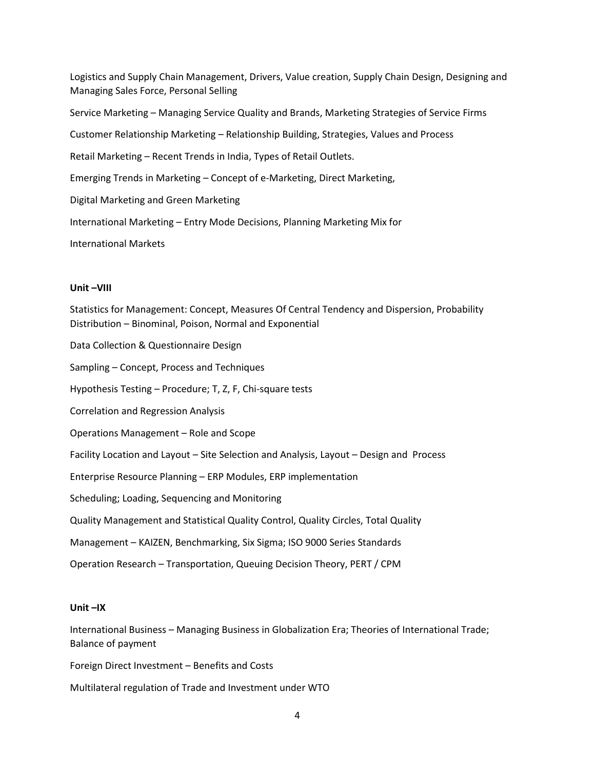Logistics and Supply Chain Management, Drivers, Value creation, Supply Chain Design, Designing and Managing Sales Force, Personal Selling Service Marketing – Managing Service Quality and Brands, Marketing Strategies of Service Firms Customer Relationship Marketing – Relationship Building, Strategies, Values and Process Retail Marketing – Recent Trends in India, Types of Retail Outlets. Emerging Trends in Marketing – Concept of e-Marketing, Direct Marketing, Digital Marketing and Green Marketing International Marketing – Entry Mode Decisions, Planning Marketing Mix for International Markets

## **Unit –VIII**

Statistics for Management: Concept, Measures Of Central Tendency and Dispersion, Probability Distribution – Binominal, Poison, Normal and Exponential Data Collection & Questionnaire Design Sampling – Concept, Process and Techniques Hypothesis Testing – Procedure; T, Z, F, Chi-square tests Correlation and Regression Analysis Operations Management – Role and Scope Facility Location and Layout – Site Selection and Analysis, Layout – Design and Process Enterprise Resource Planning – ERP Modules, ERP implementation Scheduling; Loading, Sequencing and Monitoring Quality Management and Statistical Quality Control, Quality Circles, Total Quality Management – KAIZEN, Benchmarking, Six Sigma; ISO 9000 Series Standards Operation Research – Transportation, Queuing Decision Theory, PERT / CPM

#### **Unit –IX**

International Business – Managing Business in Globalization Era; Theories of International Trade; Balance of payment

Foreign Direct Investment – Benefits and Costs

Multilateral regulation of Trade and Investment under WTO